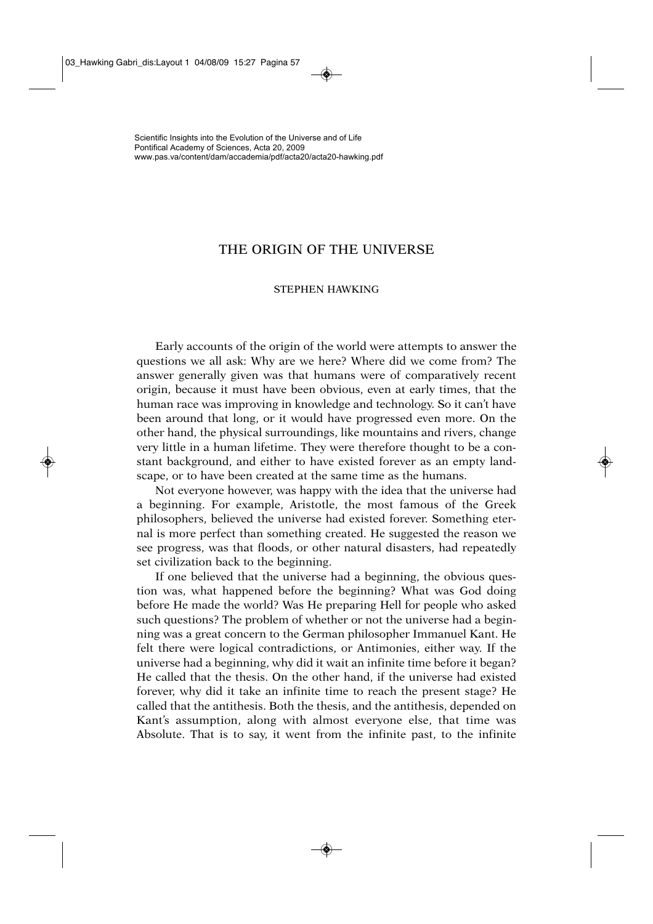## THE ORIGIN OF THE UNIVERSE

## STEPHEN HAWKING

Early accounts of the origin of the world were attempts to answer the questions we all ask: Why are we here? Where did we come from? The answer generally given was that humans were of comparatively recent origin, because it must have been obvious, even at early times, that the human race was improving in knowledge and technology. So it can't have been around that long, or it would have progressed even more. On the other hand, the physical surroundings, like mountains and rivers, change very little in a human lifetime. They were therefore thought to be a constant background, and either to have existed forever as an empty landscape, or to have been created at the same time as the humans.

Not everyone however, was happy with the idea that the universe had a beginning. For example, Aristotle, the most famous of the Greek philosophers, believed the universe had existed forever. Something eternal is more perfect than something created. He suggested the reason we see progress, was that floods, or other natural disasters, had repeatedly set civilization back to the beginning.

If one believed that the universe had a beginning, the obvious question was, what happened before the beginning? What was God doing before He made the world? Was He preparing Hell for people who asked such questions? The problem of whether or not the universe had a beginning was a great concern to the German philosopher Immanuel Kant. He felt there were logical contradictions, or Antimonies, either way. If the universe had a beginning, why did it wait an infinite time before it began? He called that the thesis. On the other hand, if the universe had existed forever, why did it take an infinite time to reach the present stage? He called that the antithesis. Both the thesis, and the antithesis, depended on Kant's assumption, along with almost everyone else, that time was Absolute. That is to say, it went from the infinite past, to the infinite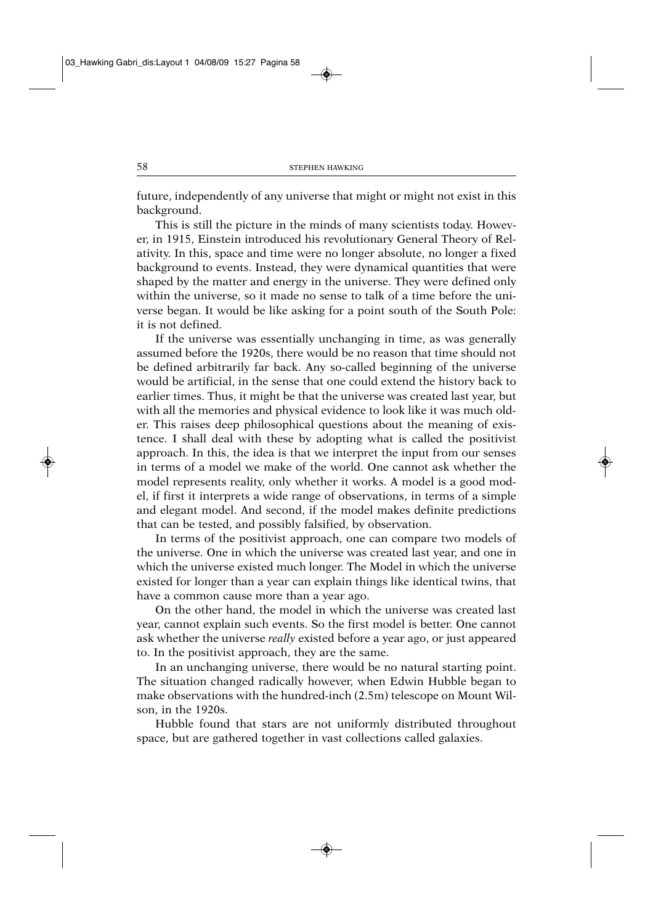future, independently of any universe that might or might not exist in this background.

This is still the picture in the minds of many scientists today. However, in 1915, Einstein introduced his revolutionary General Theory of Relativity. In this, space and time were no longer absolute, no longer a fixed background to events. Instead, they were dynamical quantities that were shaped by the matter and energy in the universe. They were defined only within the universe, so it made no sense to talk of a time before the universe began. It would be like asking for a point south of the South Pole: it is not defined.

If the universe was essentially unchanging in time, as was generally assumed before the 1920s, there would be no reason that time should not be defined arbitrarily far back. Any so-called beginning of the universe would be artificial, in the sense that one could extend the history back to earlier times. Thus, it might be that the universe was created last year, but with all the memories and physical evidence to look like it was much older. This raises deep philosophical questions about the meaning of existence. I shall deal with these by adopting what is called the positivist approach. In this, the idea is that we interpret the input from our senses in terms of a model we make of the world. One cannot ask whether the model represents reality, only whether it works. A model is a good model, if first it interprets a wide range of observations, in terms of a simple and elegant model. And second, if the model makes definite predictions that can be tested, and possibly falsified, by observation.

In terms of the positivist approach, one can compare two models of the universe. One in which the universe was created last year, and one in which the universe existed much longer. The Model in which the universe existed for longer than a year can explain things like identical twins, that have a common cause more than a year ago.

On the other hand, the model in which the universe was created last year, cannot explain such events. So the first model is better. One cannot ask whether the universe *really* existed before a year ago, or just appeared to. In the positivist approach, they are the same.

In an unchanging universe, there would be no natural starting point. The situation changed radically however, when Edwin Hubble began to make observations with the hundred-inch (2.5m) telescope on Mount Wilson, in the 1920s.

Hubble found that stars are not uniformly distributed throughout space, but are gathered together in vast collections called galaxies.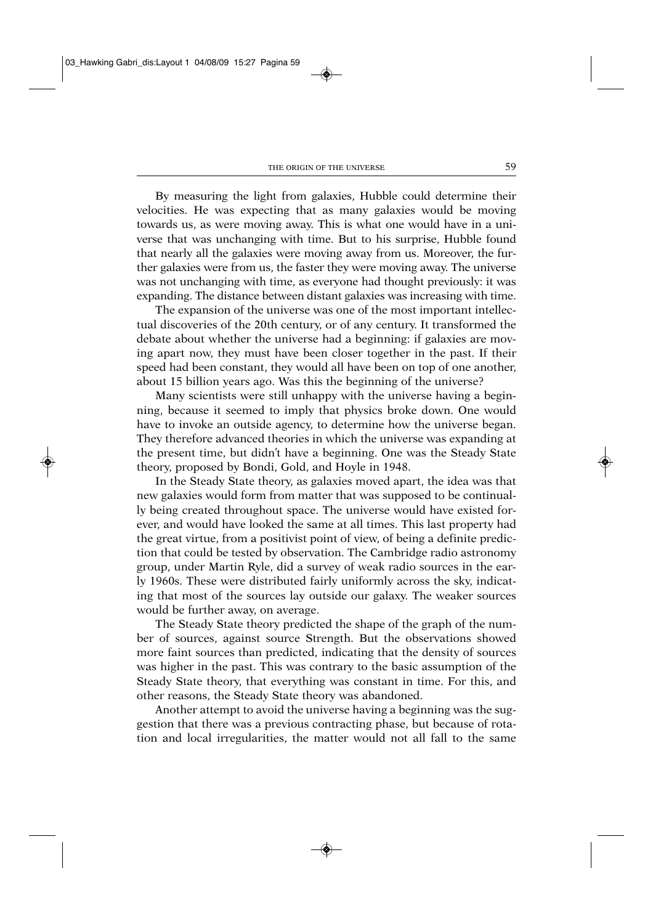By measuring the light from galaxies, Hubble could determine their velocities. He was expecting that as many galaxies would be moving towards us, as were moving away. This is what one would have in a universe that was unchanging with time. But to his surprise, Hubble found that nearly all the galaxies were moving away from us. Moreover, the further galaxies were from us, the faster they were moving away. The universe was not unchanging with time, as everyone had thought previously: it was expanding. The distance between distant galaxies was increasing with time.

The expansion of the universe was one of the most important intellectual discoveries of the 20th century, or of any century. It transformed the debate about whether the universe had a beginning: if galaxies are moving apart now, they must have been closer together in the past. If their speed had been constant, they would all have been on top of one another, about 15 billion years ago. Was this the beginning of the universe?

Many scientists were still unhappy with the universe having a beginning, because it seemed to imply that physics broke down. One would have to invoke an outside agency, to determine how the universe began. They therefore advanced theories in which the universe was expanding at the present time, but didn't have a beginning. One was the Steady State theory, proposed by Bondi, Gold, and Hoyle in 1948.

In the Steady State theory, as galaxies moved apart, the idea was that new galaxies would form from matter that was supposed to be continually being created throughout space. The universe would have existed forever, and would have looked the same at all times. This last property had the great virtue, from a positivist point of view, of being a definite prediction that could be tested by observation. The Cambridge radio astronomy group, under Martin Ryle, did a survey of weak radio sources in the early 1960s. These were distributed fairly uniformly across the sky, indicating that most of the sources lay outside our galaxy. The weaker sources would be further away, on average.

The Steady State theory predicted the shape of the graph of the number of sources, against source Strength. But the observations showed more faint sources than predicted, indicating that the density of sources was higher in the past. This was contrary to the basic assumption of the Steady State theory, that everything was constant in time. For this, and other reasons, the Steady State theory was abandoned.

Another attempt to avoid the universe having a beginning was the suggestion that there was a previous contracting phase, but because of rotation and local irregularities, the matter would not all fall to the same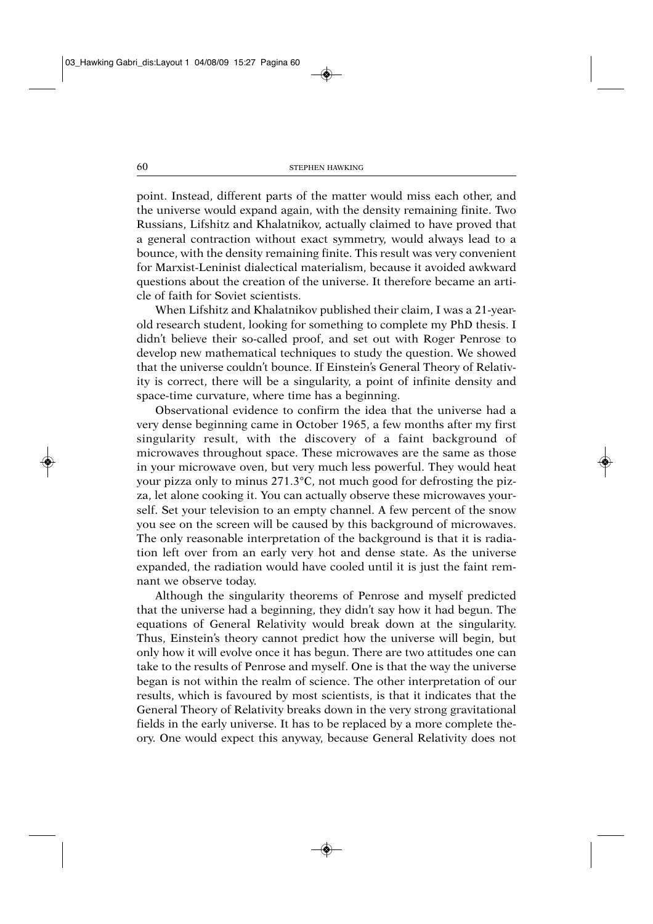point. Instead, different parts of the matter would miss each other, and the universe would expand again, with the density remaining finite. Two Russians, Lifshitz and Khalatnikov, actually claimed to have proved that a general contraction without exact symmetry, would always lead to a bounce, with the density remaining finite. This result was very convenient for Marxist-Leninist dialectical materialism, because it avoided awkward questions about the creation of the universe. It therefore became an article of faith for Soviet scientists.

When Lifshitz and Khalatnikov published their claim, I was a 21-yearold research student, looking for something to complete my PhD thesis. I didn't believe their so-called proof, and set out with Roger Penrose to develop new mathematical techniques to study the question. We showed that the universe couldn't bounce. If Einstein's General Theory of Relativity is correct, there will be a singularity, a point of infinite density and space-time curvature, where time has a beginning.

Observational evidence to confirm the idea that the universe had a very dense beginning came in October 1965, a few months after my first singularity result, with the discovery of a faint background of microwaves throughout space. These microwaves are the same as those in your microwave oven, but very much less powerful. They would heat your pizza only to minus 271.3°C, not much good for defrosting the pizza, let alone cooking it. You can actually observe these microwaves yourself. Set your television to an empty channel. A few percent of the snow you see on the screen will be caused by this background of microwaves. The only reasonable interpretation of the background is that it is radiation left over from an early very hot and dense state. As the universe expanded, the radiation would have cooled until it is just the faint remnant we observe today.

Although the singularity theorems of Penrose and myself predicted that the universe had a beginning, they didn't say how it had begun. The equations of General Relativity would break down at the singularity. Thus, Einstein's theory cannot predict how the universe will begin, but only how it will evolve once it has begun. There are two attitudes one can take to the results of Penrose and myself. One is that the way the universe began is not within the realm of science. The other interpretation of our results, which is favoured by most scientists, is that it indicates that the General Theory of Relativity breaks down in the very strong gravitational fields in the early universe. It has to be replaced by a more complete theory. One would expect this anyway, because General Relativity does not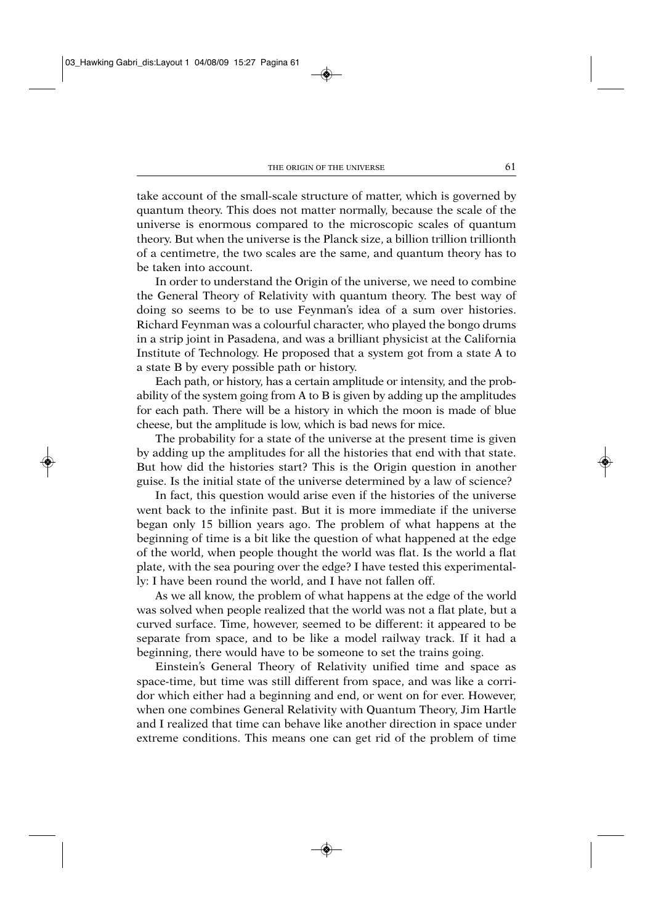take account of the small-scale structure of matter, which is governed by quantum theory. This does not matter normally, because the scale of the universe is enormous compared to the microscopic scales of quantum theory. But when the universe is the Planck size, a billion trillion trillionth of a centimetre, the two scales are the same, and quantum theory has to be taken into account.

In order to understand the Origin of the universe, we need to combine the General Theory of Relativity with quantum theory. The best way of doing so seems to be to use Feynman's idea of a sum over histories. Richard Feynman was a colourful character, who played the bongo drums in a strip joint in Pasadena, and was a brilliant physicist at the California Institute of Technology. He proposed that a system got from a state A to a state B by every possible path or history.

Each path, or history, has a certain amplitude or intensity, and the probability of the system going from A to B is given by adding up the amplitudes for each path. There will be a history in which the moon is made of blue cheese, but the amplitude is low, which is bad news for mice.

The probability for a state of the universe at the present time is given by adding up the amplitudes for all the histories that end with that state. But how did the histories start? This is the Origin question in another guise. Is the initial state of the universe determined by a law of science?

In fact, this question would arise even if the histories of the universe went back to the infinite past. But it is more immediate if the universe began only 15 billion years ago. The problem of what happens at the beginning of time is a bit like the question of what happened at the edge of the world, when people thought the world was flat. Is the world a flat plate, with the sea pouring over the edge? I have tested this experimentally: I have been round the world, and I have not fallen off.

As we all know, the problem of what happens at the edge of the world was solved when people realized that the world was not a flat plate, but a curved surface. Time, however, seemed to be different: it appeared to be separate from space, and to be like a model railway track. If it had a beginning, there would have to be someone to set the trains going.

Einstein's General Theory of Relativity unified time and space as space-time, but time was still different from space, and was like a corridor which either had a beginning and end, or went on for ever. However, when one combines General Relativity with Quantum Theory, Jim Hartle and I realized that time can behave like another direction in space under extreme conditions. This means one can get rid of the problem of time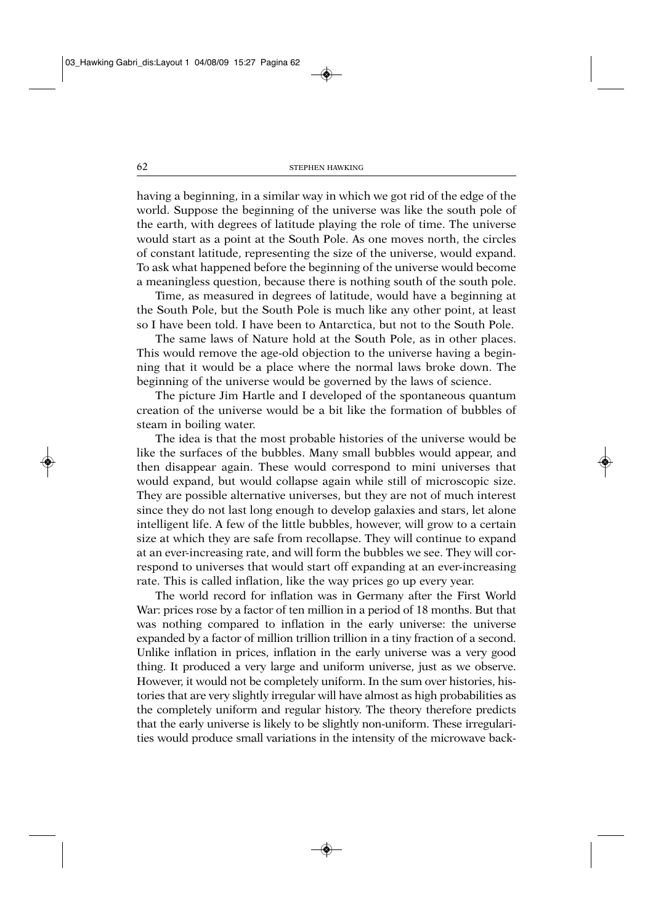having a beginning, in a similar way in which we got rid of the edge of the world. Suppose the beginning of the universe was like the south pole of the earth, with degrees of latitude playing the role of time. The universe would start as a point at the South Pole. As one moves north, the circles of constant latitude, representing the size of the universe, would expand. To ask what happened before the beginning of the universe would become a meaningless question, because there is nothing south of the south pole.

Time, as measured in degrees of latitude, would have a beginning at the South Pole, but the South Pole is much like any other point, at least so I have been told. I have been to Antarctica, but not to the South Pole.

The same laws of Nature hold at the South Pole, as in other places. This would remove the age-old objection to the universe having a beginning that it would be a place where the normal laws broke down. The beginning of the universe would be governed by the laws of science.

The picture Jim Hartle and I developed of the spontaneous quantum creation of the universe would be a bit like the formation of bubbles of steam in boiling water.

The idea is that the most probable histories of the universe would be like the surfaces of the bubbles. Many small bubbles would appear, and then disappear again. These would correspond to mini universes that would expand, but would collapse again while still of microscopic size. They are possible alternative universes, but they are not of much interest since they do not last long enough to develop galaxies and stars, let alone intelligent life. A few of the little bubbles, however, will grow to a certain size at which they are safe from recollapse. They will continue to expand at an ever-increasing rate, and will form the bubbles we see. They will correspond to universes that would start off expanding at an ever-increasing rate. This is called inflation, like the way prices go up every year.

The world record for inflation was in Germany after the First World War: prices rose by a factor of ten million in a period of 18 months. But that was nothing compared to inflation in the early universe: the universe expanded by a factor of million trillion trillion in a tiny fraction of a second. Unlike inflation in prices, inflation in the early universe was a very good thing. It produced a very large and uniform universe, just as we observe. However, it would not be completely uniform. In the sum over histories, histories that are very slightly irregular will have almost as high probabilities as the completely uniform and regular history. The theory therefore predicts that the early universe is likely to be slightly non-uniform. These irregularities would produce small variations in the intensity of the microwave back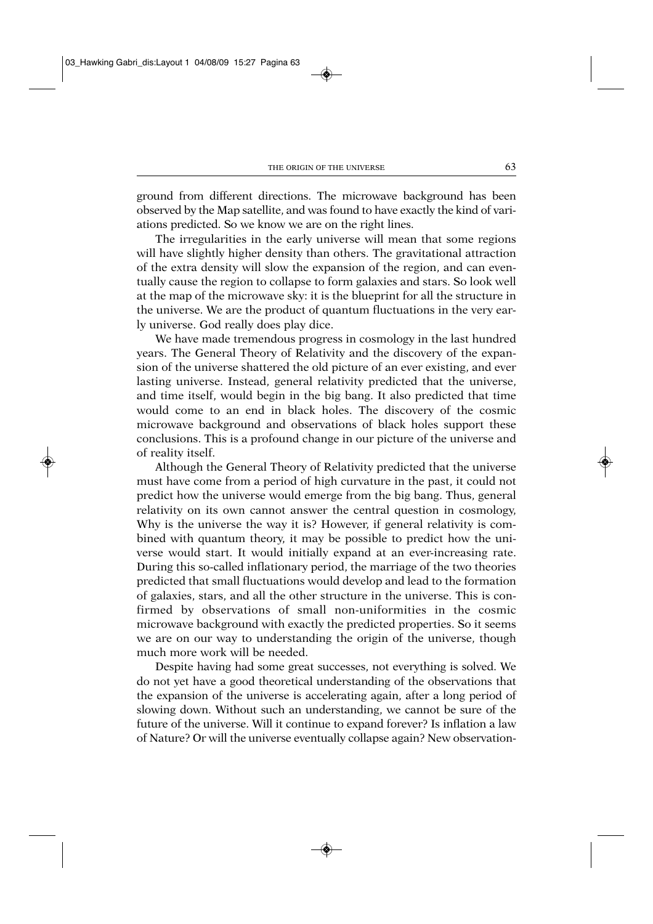ground from different directions. The microwave background has been observed by the Map satellite, and was found to have exactly the kind of variations predicted. So we know we are on the right lines.

The irregularities in the early universe will mean that some regions will have slightly higher density than others. The gravitational attraction of the extra density will slow the expansion of the region, and can eventually cause the region to collapse to form galaxies and stars. So look well at the map of the microwave sky: it is the blueprint for all the structure in the universe. We are the product of quantum fluctuations in the very early universe. God really does play dice.

We have made tremendous progress in cosmology in the last hundred years. The General Theory of Relativity and the discovery of the expansion of the universe shattered the old picture of an ever existing, and ever lasting universe. Instead, general relativity predicted that the universe, and time itself, would begin in the big bang. It also predicted that time would come to an end in black holes. The discovery of the cosmic microwave background and observations of black holes support these conclusions. This is a profound change in our picture of the universe and of reality itself.

Although the General Theory of Relativity predicted that the universe must have come from a period of high curvature in the past, it could not predict how the universe would emerge from the big bang. Thus, general relativity on its own cannot answer the central question in cosmology, Why is the universe the way it is? However, if general relativity is combined with quantum theory, it may be possible to predict how the universe would start. It would initially expand at an ever-increasing rate. During this so-called inflationary period, the marriage of the two theories predicted that small fluctuations would develop and lead to the formation of galaxies, stars, and all the other structure in the universe. This is confirmed by observations of small non-uniformities in the cosmic microwave background with exactly the predicted properties. So it seems we are on our way to understanding the origin of the universe, though much more work will be needed.

Despite having had some great successes, not everything is solved. We do not yet have a good theoretical understanding of the observations that the expansion of the universe is accelerating again, after a long period of slowing down. Without such an understanding, we cannot be sure of the future of the universe. Will it continue to expand forever? Is inflation a law of Nature? Or will the universe eventually collapse again? New observation